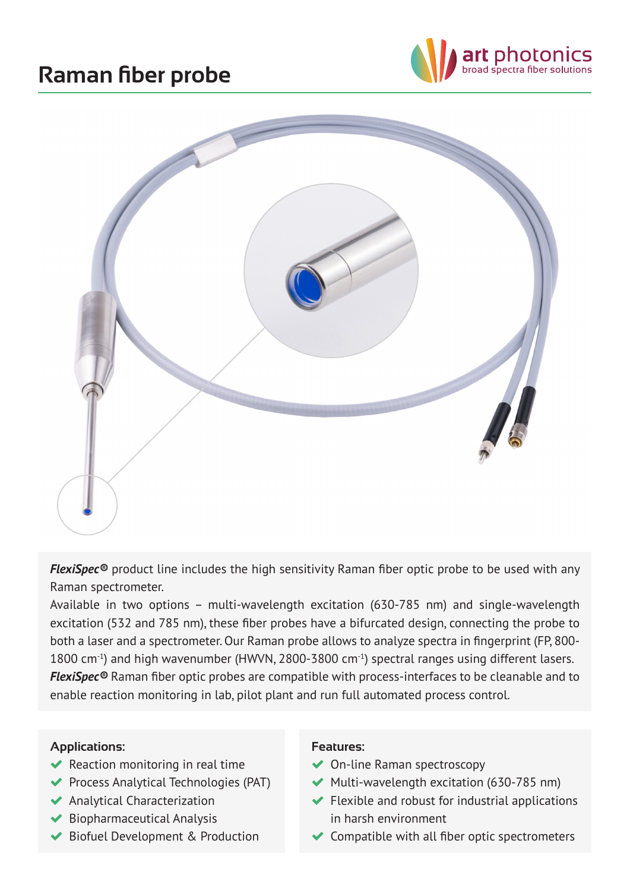## **Raman fiber probe**





*FlexiSpec®* product line includes the high sensitivity Raman fiber optic probe to be used with any Raman spectrometer.

Available in two options – multi-wavelength excitation (630-785 nm) and single-wavelength excitation (532 and 785 nm), these fiber probes have a bifurcated design, connecting the probe to both a laser and a spectrometer. Our Raman probe allows to analyze spectra in fingerprint (FP, 800- 1800 cm<sup>-1</sup>) and high wavenumber (HWVN, 2800-3800 cm<sup>-1</sup>) spectral ranges using different lasers. *FlexiSpec®* Raman fiber optic probes are compatible with process-interfaces to be cleanable and to enable reaction monitoring in lab, pilot plant and run full automated process control.

## **Applications:**

- $\blacktriangleright$  Reaction monitoring in real time
- ◆ Process Analytical Technologies (PAT)
- Analytical Characterization
- $\blacktriangleright$  Biopharmaceutical Analysis
- ◆ Biofuel Development & Production

## **Features:**

- ◆ On-line Raman spectroscopy
- $\blacktriangleright$  Multi-wavelength excitation (630-785 nm)
- $\blacktriangleright$  Flexible and robust for industrial applications in harsh environment
- $\blacktriangleright$  Compatible with all fiber optic spectrometers